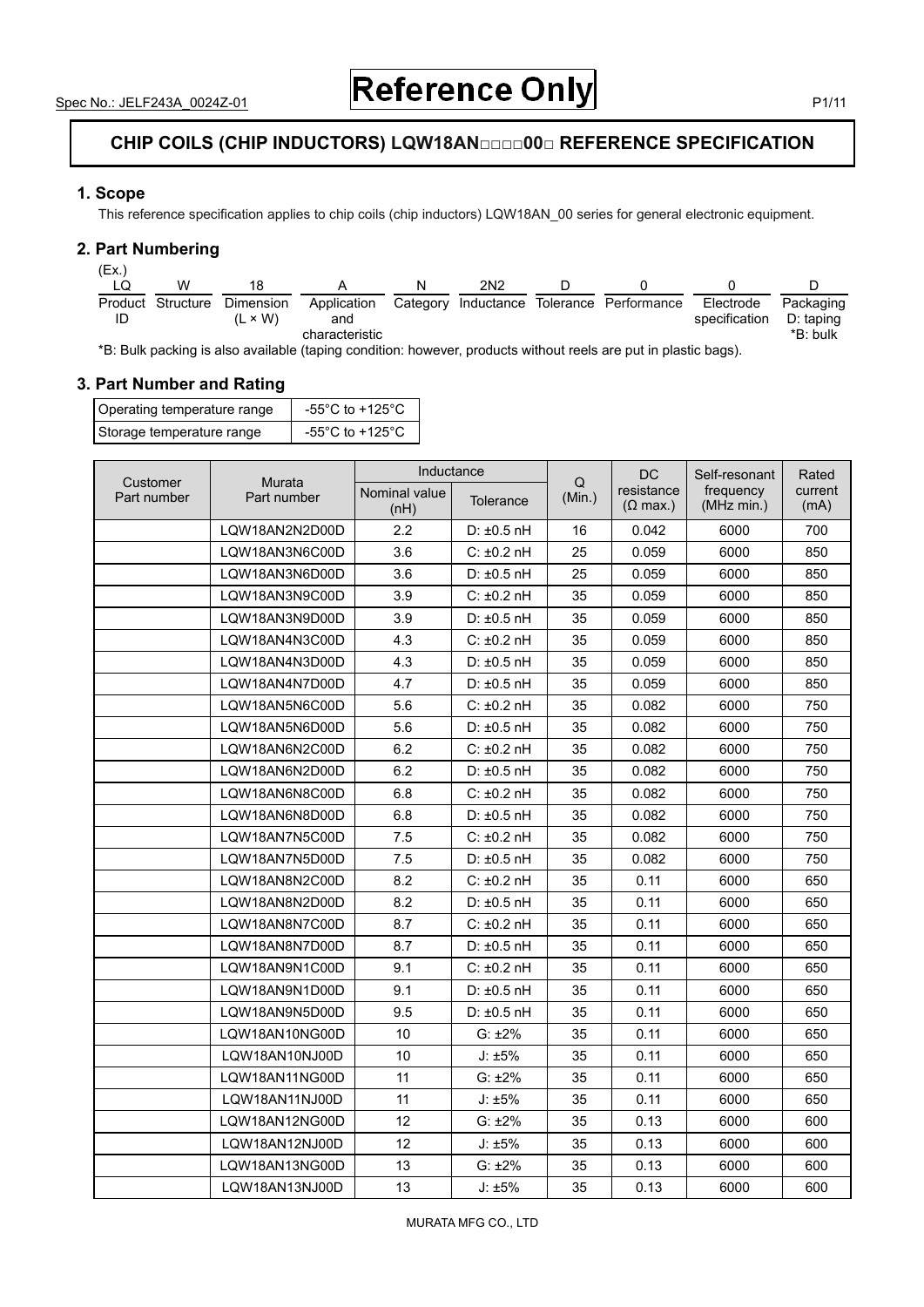# **CHIP COILS (CHIP INDUCTORS) LQW18AN□□□□00□ REFERENCE SPECIFICATION**

### **1. Scope**

This reference specification applies to chip coils (chip inductors) LQW18AN\_00 series for general electronic equipment.

### **2. Part Numbering**

| (EX.) |                   |                |                |   |                 |                                           |               |           |
|-------|-------------------|----------------|----------------|---|-----------------|-------------------------------------------|---------------|-----------|
|       | w                 |                |                | N | 2N <sub>2</sub> |                                           |               |           |
|       | Product Structure | Dimension      | Application    |   |                 | Category Inductance Tolerance Performance | Electrode     | Packaging |
| ID    |                   | $(L \times W)$ | and            |   |                 |                                           | specification | D: taping |
|       |                   |                | characteristic |   |                 |                                           |               | *B: bulk  |
|       |                   |                |                |   |                 |                                           |               |           |

\*B: Bulk packing is also available (taping condition: however, products without reels are put in plastic bags).

## **3. Part Number and Rating**

| Operating temperature range | -55 $^{\circ}$ C to +125 $^{\circ}$ C |
|-----------------------------|---------------------------------------|
| Storage temperature range   | -55 $^{\circ}$ C to +125 $^{\circ}$ C |

|                         | Murata         | Inductance            |                  | $\mathsf Q$ | DC                                    | Self-resonant           | Rated           |
|-------------------------|----------------|-----------------------|------------------|-------------|---------------------------------------|-------------------------|-----------------|
| Customer<br>Part number | Part number    | Nominal value<br>(nH) | <b>Tolerance</b> | (Min.)      | resistance<br>$(\Omega \text{ max.})$ | frequency<br>(MHz min.) | current<br>(mA) |
|                         | LQW18AN2N2D00D | 2.2                   | $D: \pm 0.5$ nH  | 16          | 0.042                                 | 6000                    | 700             |
|                         | LQW18AN3N6C00D | 3.6                   | $C: \pm 0.2$ nH  | 25          | 0.059                                 | 6000                    | 850             |
|                         | LOW18AN3N6D00D | 3.6                   | $D: \pm 0.5$ nH  | 25          | 0.059                                 | 6000                    | 850             |
|                         | LQW18AN3N9C00D | 3.9                   | $C: \pm 0.2$ nH  | 35          | 0.059                                 | 6000                    | 850             |
|                         | LQW18AN3N9D00D | 3.9                   | $D: \pm 0.5$ nH  | 35          | 0.059                                 | 6000                    | 850             |
|                         | LQW18AN4N3C00D | 4.3                   | $C: \pm 0.2$ nH  | 35          | 0.059                                 | 6000                    | 850             |
|                         | LQW18AN4N3D00D | 4.3                   | $D: \pm 0.5$ nH  | 35          | 0.059                                 | 6000                    | 850             |
|                         | LQW18AN4N7D00D | 4.7                   | $D: \pm 0.5$ nH  | 35          | 0.059                                 | 6000                    | 850             |
|                         | LQW18AN5N6C00D | 5.6                   | $C: \pm 0.2$ nH  | 35          | 0.082                                 | 6000                    | 750             |
|                         | LQW18AN5N6D00D | 5.6                   | $D: \pm 0.5$ nH  | 35          | 0.082                                 | 6000                    | 750             |
|                         | LQW18AN6N2C00D | 6.2                   | $C: \pm 0.2$ nH  | 35          | 0.082                                 | 6000                    | 750             |
|                         | LQW18AN6N2D00D | 6.2                   | $D: \pm 0.5$ nH  | 35          | 0.082                                 | 6000                    | 750             |
|                         | LQW18AN6N8C00D | 6.8                   | $C: \pm 0.2$ nH  | 35          | 0.082                                 | 6000                    | 750             |
|                         | LQW18AN6N8D00D | 6.8                   | $D: \pm 0.5$ nH  | 35          | 0.082                                 | 6000                    | 750             |
|                         | LQW18AN7N5C00D | 7.5                   | $C: \pm 0.2$ nH  | 35          | 0.082                                 | 6000                    | 750             |
|                         | LQW18AN7N5D00D | 7.5                   | $D: \pm 0.5$ nH  | 35          | 0.082                                 | 6000                    | 750             |
|                         | LQW18AN8N2C00D | 8.2                   | $C: \pm 0.2$ nH  | 35          | 0.11                                  | 6000                    | 650             |
|                         | LQW18AN8N2D00D | 8.2                   | $D: \pm 0.5$ nH  | 35          | 0.11                                  | 6000                    | 650             |
|                         | LOW18AN8N7C00D | 8.7                   | $C: \pm 0.2$ nH  | 35          | 0.11                                  | 6000                    | 650             |
|                         | LOW18AN8N7D00D | 8.7                   | $D: \pm 0.5$ nH  | 35          | 0.11                                  | 6000                    | 650             |
|                         | LQW18AN9N1C00D | 9.1                   | $C: \pm 0.2$ nH  | 35          | 0.11                                  | 6000                    | 650             |
|                         | LQW18AN9N1D00D | 9.1                   | $D: \pm 0.5$ nH  | 35          | 0.11                                  | 6000                    | 650             |
|                         | LQW18AN9N5D00D | 9.5                   | $D: \pm 0.5$ nH  | 35          | 0.11                                  | 6000                    | 650             |
|                         | LQW18AN10NG00D | 10                    | $G: \pm 2\%$     | 35          | 0.11                                  | 6000                    | 650             |
|                         | LQW18AN10NJ00D | 10                    | $J: \pm 5\%$     | 35          | 0.11                                  | 6000                    | 650             |
|                         | LQW18AN11NG00D | 11                    | $G: \pm 2\%$     | 35          | 0.11                                  | 6000                    | 650             |
|                         | LQW18AN11NJ00D | 11                    | J: ±5%           | 35          | 0.11                                  | 6000                    | 650             |
|                         | LQW18AN12NG00D | 12                    | $G: \pm 2\%$     | 35          | 0.13                                  | 6000                    | 600             |
|                         | LQW18AN12NJ00D | 12                    | J: ±5%           | 35          | 0.13                                  | 6000                    | 600             |
|                         | LQW18AN13NG00D | 13                    | $G: \pm 2\%$     | 35          | 0.13                                  | 6000                    | 600             |
|                         | LQW18AN13NJ00D | 13                    | J: ±5%           | 35          | 0.13                                  | 6000                    | 600             |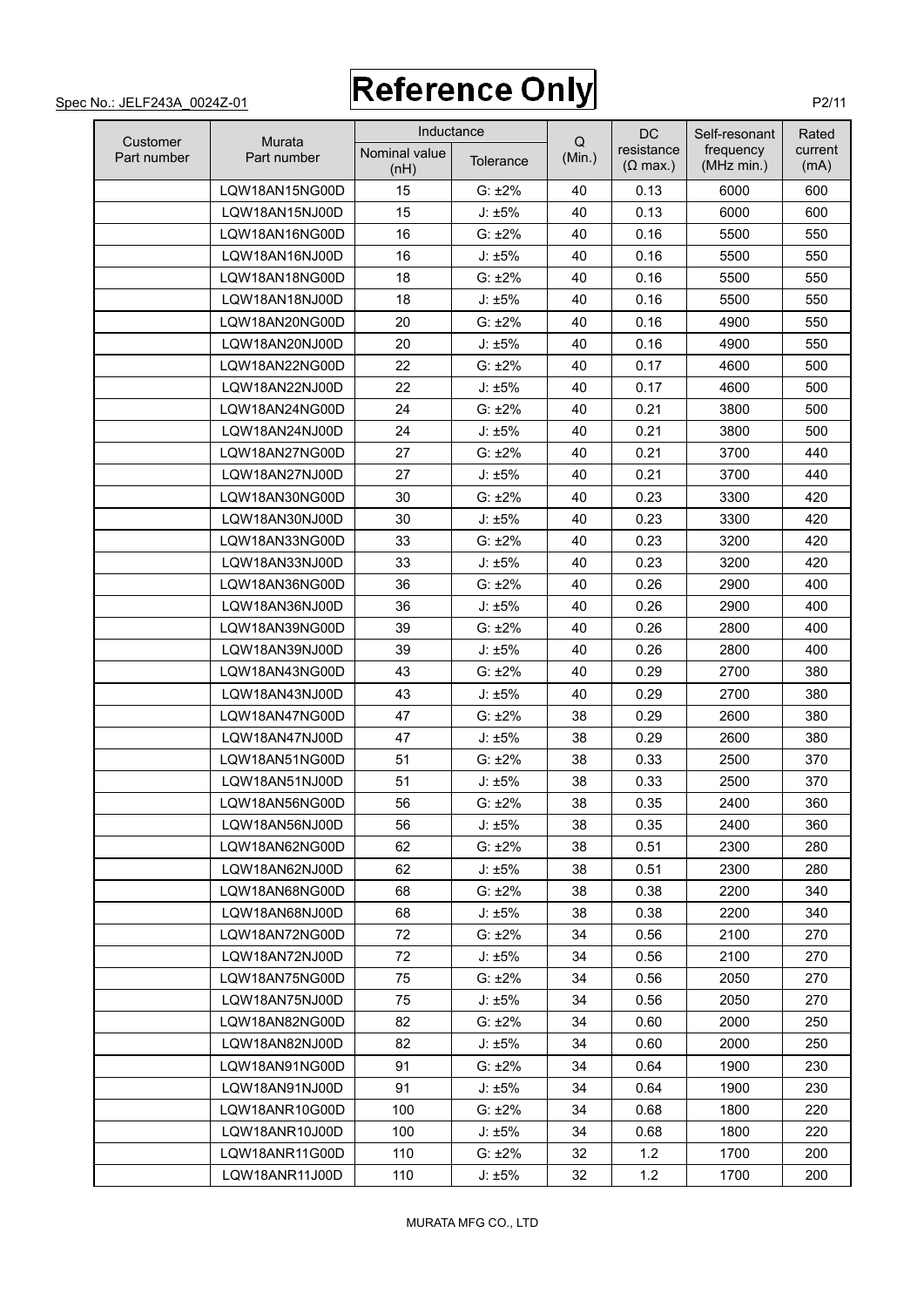$\Omega$ 

DC

Self-resonant

Rated

Inductance

|                         | <b>Murata</b>  | <b>Illuucialice</b>   |              |             | DG                                    | Self-resonant           | Rated           |
|-------------------------|----------------|-----------------------|--------------|-------------|---------------------------------------|-------------------------|-----------------|
| Customer<br>Part number | Part number    | Nominal value<br>(nH) | Tolerance    | Q<br>(Min.) | resistance<br>$(\Omega \text{ max.})$ | frequency<br>(MHz min.) | current<br>(mA) |
|                         | LQW18AN15NG00D | 15                    | $G: \pm 2\%$ | 40          | 0.13                                  | 6000                    | 600             |
|                         | LQW18AN15NJ00D | 15                    | J: ±5%       | 40          | 0.13                                  | 6000                    | 600             |
|                         | LQW18AN16NG00D | 16                    | $G: \pm 2\%$ | 40          | 0.16                                  | 5500                    | 550             |
|                         | LQW18AN16NJ00D | 16                    | J: ±5%       | 40          | 0.16                                  | 5500                    | 550             |
|                         | LQW18AN18NG00D | 18                    | $G: \pm 2\%$ | 40          | 0.16                                  | 5500                    | 550             |
|                         | LQW18AN18NJ00D | 18                    | J: ±5%       | 40          | 0.16                                  | 5500                    | 550             |
|                         | LQW18AN20NG00D | 20                    | $G: \pm 2\%$ | 40          | 0.16                                  | 4900                    | 550             |
|                         | LQW18AN20NJ00D | 20                    | $J: \pm 5\%$ | 40          | 0.16                                  | 4900                    | 550             |
|                         | LQW18AN22NG00D | 22                    | $G: \pm 2\%$ | 40          | 0.17                                  | 4600                    | 500             |
|                         | LQW18AN22NJ00D | 22                    | $J: \pm 5\%$ | 40          | 0.17                                  | 4600                    | 500             |
|                         | LQW18AN24NG00D | 24                    | $G: \pm 2\%$ | 40          | 0.21                                  | 3800                    | 500             |
|                         | LQW18AN24NJ00D | 24                    | J: ±5%       | 40          | 0.21                                  | 3800                    | 500             |
|                         | LQW18AN27NG00D | 27                    | $G: \pm 2\%$ | 40          | 0.21                                  | 3700                    | 440             |
|                         | LQW18AN27NJ00D | 27                    | $J: \pm 5\%$ | 40          | 0.21                                  | 3700                    | 440             |
|                         | LOW18AN30NG00D | 30                    | $G: \pm 2\%$ | 40          | 0.23                                  | 3300                    | 420             |
|                         | LQW18AN30NJ00D | 30                    | $J: \pm 5\%$ | 40          | 0.23                                  | 3300                    | 420             |
|                         | LQW18AN33NG00D | 33                    | $G: \pm 2\%$ | 40          | 0.23                                  | 3200                    | 420             |
|                         | LQW18AN33NJ00D | 33                    | J: ±5%       | 40          | 0.23                                  | 3200                    | 420             |
|                         | LQW18AN36NG00D | 36                    | $G: \pm 2\%$ | 40          | 0.26                                  | 2900                    | 400             |
|                         | LQW18AN36NJ00D | 36                    | J: ±5%       | 40          | 0.26                                  | 2900                    | 400             |
|                         | LQW18AN39NG00D | 39                    | $G: \pm 2\%$ | 40          | 0.26                                  | 2800                    | 400             |
|                         | LQW18AN39NJ00D | 39                    | J: ±5%       | 40          | 0.26                                  | 2800                    | 400             |
|                         | LQW18AN43NG00D | 43                    | $G: \pm 2\%$ | 40          | 0.29                                  | 2700                    | 380             |
|                         | LQW18AN43NJ00D | 43                    | $J: \pm 5\%$ | 40          | 0.29                                  | 2700                    | 380             |
|                         | LQW18AN47NG00D | 47                    | $G: \pm 2\%$ | 38          | 0.29                                  | 2600                    | 380             |
|                         | LQW18AN47NJ00D | 47                    | $J: \pm 5\%$ | 38          | 0.29                                  | 2600                    | 380             |
|                         | LQW18AN51NG00D | 51                    | $G: \pm 2\%$ | 38          | 0.33                                  | 2500                    | 370             |
|                         | LQW18AN51NJ00D | 51                    | J: ±5%       | 38          | 0.33                                  | 2500                    | 370             |
|                         | LQW18AN56NG00D | 56                    | $G: \pm 2\%$ | 38          | 0.35                                  | 2400                    | 360             |
|                         | LQW18AN56NJ00D | 56                    | J: ±5%       | 38          | 0.35                                  | 2400                    | 360             |
|                         | LQW18AN62NG00D | 62                    | G: ±2%       | 38          | 0.51                                  | 2300                    | 280             |
|                         | LQW18AN62NJ00D | 62                    | $J: \pm 5\%$ | 38          | 0.51                                  | 2300                    | 280             |
|                         | LQW18AN68NG00D | 68                    | $G: \pm 2\%$ | 38          | 0.38                                  | 2200                    | 340             |
|                         | LQW18AN68NJ00D | 68                    | J: ±5%       | 38          | 0.38                                  | 2200                    | 340             |
|                         | LQW18AN72NG00D | 72                    | $G: \pm 2\%$ | 34          | 0.56                                  | 2100                    | 270             |
|                         | LQW18AN72NJ00D | 72                    | $J: \pm 5\%$ | 34          | 0.56                                  | 2100                    | 270             |
|                         | LQW18AN75NG00D | 75                    | $G: \pm 2\%$ | 34          | 0.56                                  | 2050                    | 270             |
|                         | LQW18AN75NJ00D | 75                    | J: ±5%       | 34          | 0.56                                  | 2050                    | 270             |
|                         | LQW18AN82NG00D | 82                    | $G: \pm 2\%$ | 34          | 0.60                                  | 2000                    | 250             |
|                         | LQW18AN82NJ00D | 82                    | J: ±5%       | 34          | 0.60                                  | 2000                    | 250             |
|                         | LQW18AN91NG00D | 91                    | $G: \pm 2\%$ | 34          | 0.64                                  | 1900                    | 230             |
|                         | LQW18AN91NJ00D | 91                    | $J: \pm 5\%$ | 34          | 0.64                                  | 1900                    | 230             |
|                         | LQW18ANR10G00D | 100                   | $G: \pm 2\%$ | 34          | 0.68                                  | 1800                    | 220             |
|                         | LQW18ANR10J00D | 100                   | $J: \pm 5\%$ | 34          | 0.68                                  | 1800                    | 220             |
|                         | LQW18ANR11G00D | 110                   | $G: \pm 2\%$ | 32          | 1.2                                   | 1700                    | 200             |

LQW18ANR11J00D 110 J: ±5% 32 1.2 1700 200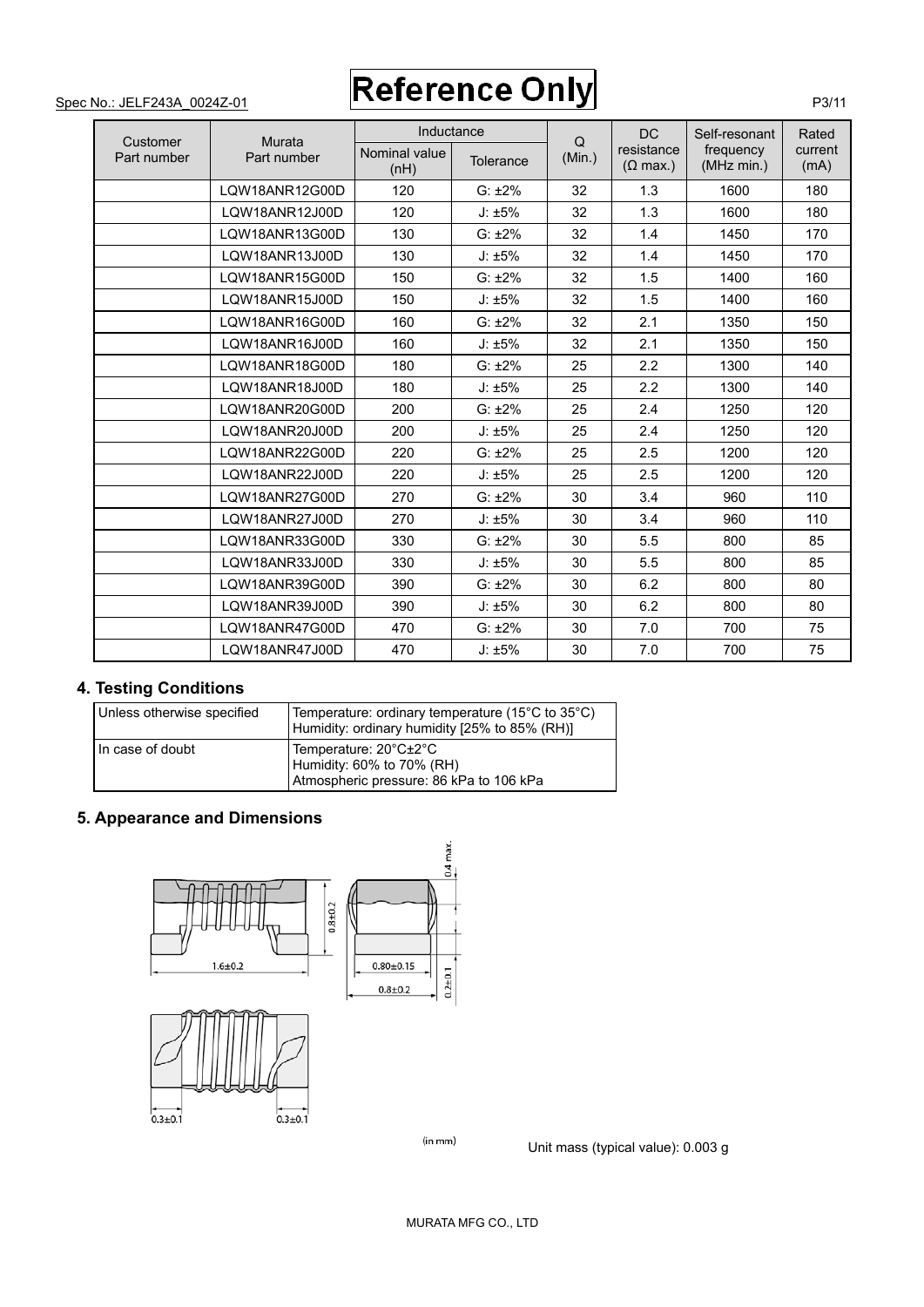|                         |                       | Inductance            |              |             | <b>DC</b>                     | Self-resonant           | Rated           |
|-------------------------|-----------------------|-----------------------|--------------|-------------|-------------------------------|-------------------------|-----------------|
| Customer<br>Part number | Murata<br>Part number | Nominal value<br>(nH) | Tolerance    | Q<br>(Min.) | resistance<br>$(\Omega$ max.) | frequency<br>(MHz min.) | current<br>(mA) |
|                         | LOW18ANR12G00D        | 120                   | $G: \pm 2\%$ | 32          | 1.3                           | 1600                    | 180             |
|                         | LOW18ANR12J00D        | 120                   | J: ±5%       | 32          | 1.3                           | 1600                    | 180             |
|                         | LOW18ANR13G00D        | 130                   | $G: \pm 2\%$ | 32          | 1.4                           | 1450                    | 170             |
|                         | LOW18ANR13J00D        | 130                   | J: ±5%       | 32          | 1.4                           | 1450                    | 170             |
|                         | LQW18ANR15G00D        | 150                   | $G: \pm 2\%$ | 32          | 1.5                           | 1400                    | 160             |
|                         | LQW18ANR15J00D        | 150                   | J: ±5%       | 32          | 1.5                           | 1400                    | 160             |
|                         | LOW18ANR16G00D        | 160                   | $G: \pm 2\%$ | 32          | 2.1                           | 1350                    | 150             |
|                         | LOW18ANR16J00D        | 160                   | J: ±5%       | 32          | 2.1                           | 1350                    | 150             |
|                         | LOW18ANR18G00D        | 180                   | $G: \pm 2\%$ | 25          | 2.2                           | 1300                    | 140             |
|                         | LQW18ANR18J00D        | 180                   | J: ±5%       | 25          | 2.2                           | 1300                    | 140             |
|                         | LOW18ANR20G00D        | 200                   | $G: \pm 2\%$ | 25          | 2.4                           | 1250                    | 120             |
|                         | LOW18ANR20J00D        | 200                   | J: ±5%       | 25          | 2.4                           | 1250                    | 120             |
|                         | LOW18ANR22G00D        | 220                   | $G: \pm 2\%$ | 25          | 2.5                           | 1200                    | 120             |
|                         | LQW18ANR22J00D        | 220                   | J: ±5%       | 25          | 2.5                           | 1200                    | 120             |
|                         | LOW18ANR27G00D        | 270                   | $G: \pm 2\%$ | 30          | 3.4                           | 960                     | 110             |
|                         | LQW18ANR27J00D        | 270                   | J: ±5%       | 30          | 3.4                           | 960                     | 110             |
|                         | LOW18ANR33G00D        | 330                   | $G: \pm 2\%$ | 30          | 5.5                           | 800                     | 85              |
|                         | LOW18ANR33J00D        | 330                   | J: ±5%       | 30          | 5.5                           | 800                     | 85              |
|                         | LOW18ANR39G00D        | 390                   | $G: \pm 2\%$ | 30          | 6.2                           | 800                     | 80              |
|                         | LOW18ANR39J00D        | 390                   | J: ±5%       | 30          | 6.2                           | 800                     | 80              |
|                         | LOW18ANR47G00D        | 470                   | $G: \pm 2\%$ | 30          | 7.0                           | 700                     | 75              |
|                         | LOW18ANR47J00D        | 470                   | J: ±5%       | 30          | 7.0                           | 700                     | 75              |

# **4. Testing Conditions**

| Unless otherwise specified | Temperature: ordinary temperature (15°C to 35°C)<br>Humidity: ordinary humidity [25% to 85% (RH)] |
|----------------------------|---------------------------------------------------------------------------------------------------|
| In case of doubt           | Temperature: 20°C±2°C<br>Humidity: 60% to 70% (RH)<br>Atmospheric pressure: 86 kPa to 106 kPa     |

# **5. Appearance and Dimensions**



Unit mass (typical value): 0.003 g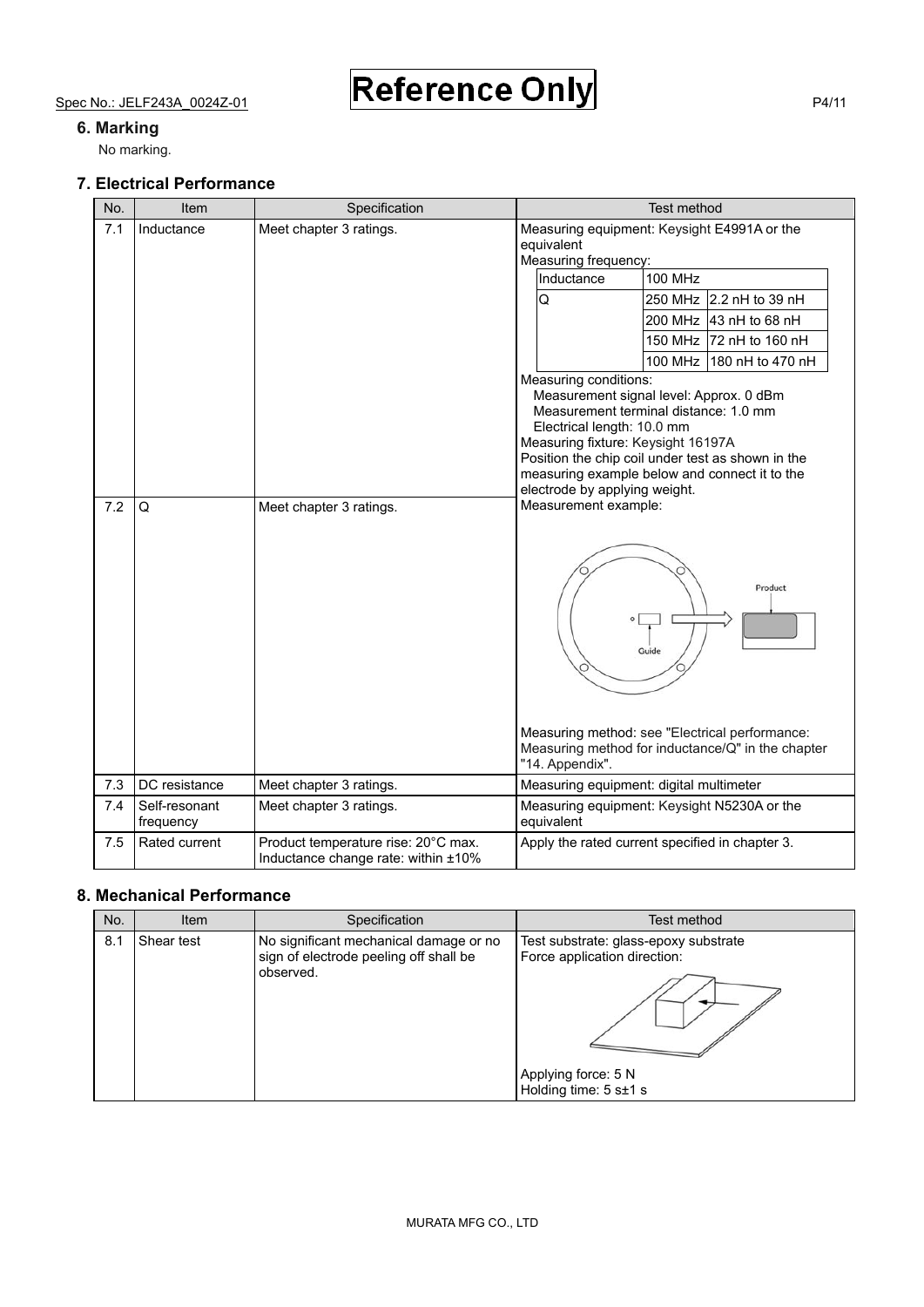### **6. Marking**

No marking.

### **7. Electrical Performance**

| No. | Item                       | Specification                                                              | Test method                                                                                                                                        |                                                                                                                                                                                        |
|-----|----------------------------|----------------------------------------------------------------------------|----------------------------------------------------------------------------------------------------------------------------------------------------|----------------------------------------------------------------------------------------------------------------------------------------------------------------------------------------|
| 7.1 | Inductance                 | Meet chapter 3 ratings.                                                    | equivalent<br>Measuring frequency:                                                                                                                 | Measuring equipment: Keysight E4991A or the                                                                                                                                            |
|     |                            |                                                                            | Inductance                                                                                                                                         | <b>100 MHz</b>                                                                                                                                                                         |
|     |                            |                                                                            | Q                                                                                                                                                  | 250 MHz 12.2 nH to 39 nH                                                                                                                                                               |
|     |                            |                                                                            |                                                                                                                                                    | 200 MHz 43 nH to 68 nH                                                                                                                                                                 |
|     |                            |                                                                            |                                                                                                                                                    | 150 MHz 72 nH to 160 nH                                                                                                                                                                |
|     |                            |                                                                            |                                                                                                                                                    | 100 MHz 180 nH to 470 nH                                                                                                                                                               |
| 7.2 | Q                          | Meet chapter 3 ratings.                                                    | Measuring conditions:<br>Electrical length: 10.0 mm<br>Measuring fixture: Keysight 16197A<br>electrode by applying weight.<br>Measurement example: | Measurement signal level: Approx. 0 dBm<br>Measurement terminal distance: 1.0 mm<br>Position the chip coil under test as shown in the<br>measuring example below and connect it to the |
|     |                            |                                                                            | "14. Appendix".                                                                                                                                    | Product<br>Guide<br>Measuring method: see "Electrical performance:<br>Measuring method for inductance/Q" in the chapter                                                                |
| 7.3 | DC resistance              | Meet chapter 3 ratings.                                                    | Measuring equipment: digital multimeter                                                                                                            |                                                                                                                                                                                        |
| 7.4 | Self-resonant<br>frequency | Meet chapter 3 ratings.                                                    | equivalent                                                                                                                                         | Measuring equipment: Keysight N5230A or the                                                                                                                                            |
| 7.5 | Rated current              | Product temperature rise: 20°C max.<br>Inductance change rate: within ±10% |                                                                                                                                                    | Apply the rated current specified in chapter 3.                                                                                                                                        |

## **8. Mechanical Performance**

| No. | Item       | Specification                                                                                 | Test method                                                                                                           |
|-----|------------|-----------------------------------------------------------------------------------------------|-----------------------------------------------------------------------------------------------------------------------|
| 8.1 | Shear test | No significant mechanical damage or no<br>sign of electrode peeling off shall be<br>observed. | Test substrate: glass-epoxy substrate<br>Force application direction:<br>Applying force: 5 N<br>Holding time: 5 s±1 s |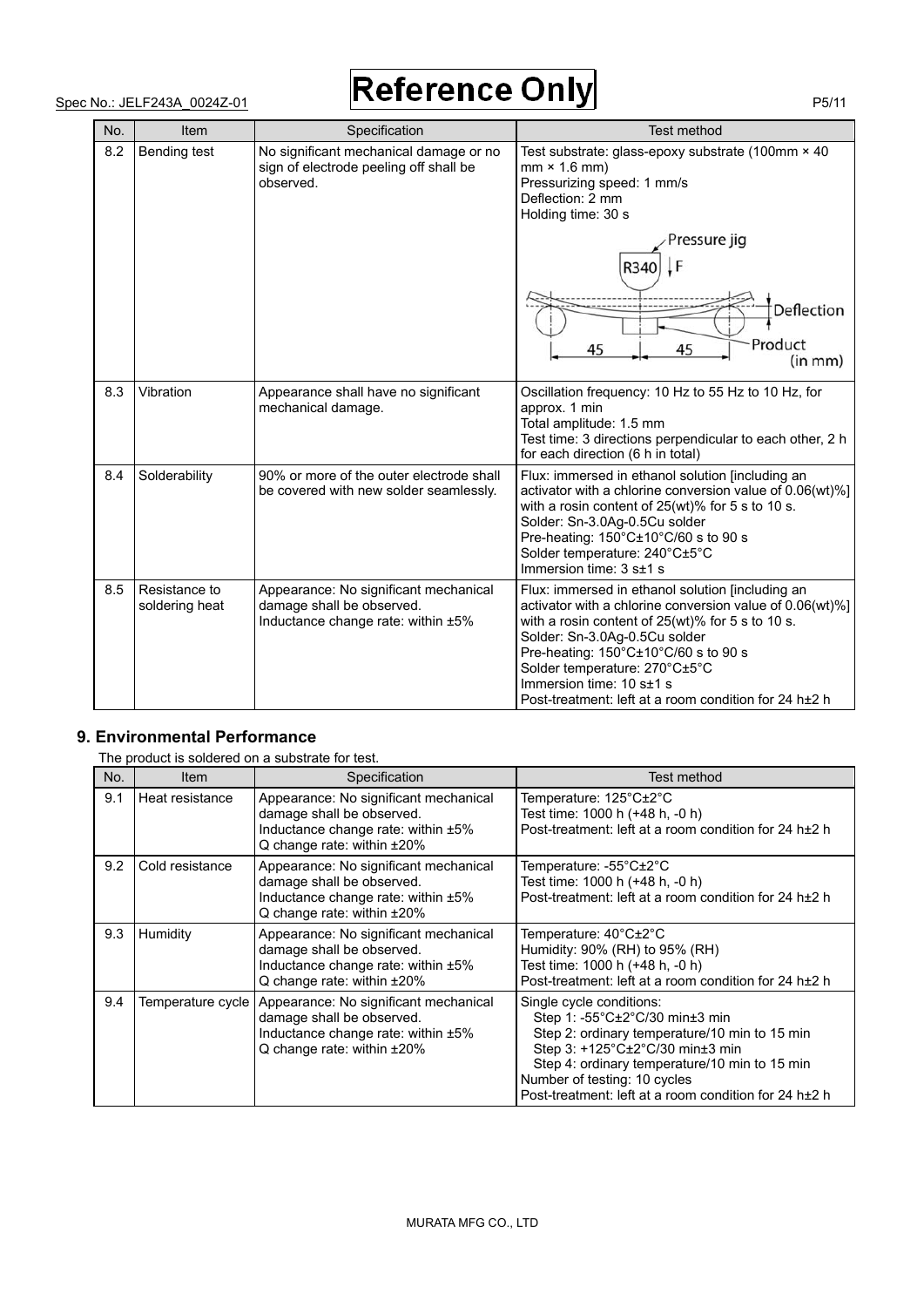| No. | Item                            | Specification                                                                                            | Test method                                                                                                                                                                                                                                                                                                                                                                    |
|-----|---------------------------------|----------------------------------------------------------------------------------------------------------|--------------------------------------------------------------------------------------------------------------------------------------------------------------------------------------------------------------------------------------------------------------------------------------------------------------------------------------------------------------------------------|
| 8.2 | Bending test                    | No significant mechanical damage or no<br>sign of electrode peeling off shall be<br>observed.            | Test substrate: glass-epoxy substrate (100mm × 40<br>$mm \times 1.6 mm$<br>Pressurizing speed: 1 mm/s<br>Deflection: 2 mm<br>Holding time: 30 s                                                                                                                                                                                                                                |
|     |                                 |                                                                                                          | Pressure jig                                                                                                                                                                                                                                                                                                                                                                   |
|     |                                 |                                                                                                          | R340                                                                                                                                                                                                                                                                                                                                                                           |
|     |                                 |                                                                                                          | Deflection<br>Product<br>45<br>45                                                                                                                                                                                                                                                                                                                                              |
|     |                                 |                                                                                                          | (in mm)                                                                                                                                                                                                                                                                                                                                                                        |
| 8.3 | Vibration                       | Appearance shall have no significant<br>mechanical damage.                                               | Oscillation frequency: 10 Hz to 55 Hz to 10 Hz, for<br>approx. 1 min<br>Total amplitude: 1.5 mm<br>Test time: 3 directions perpendicular to each other, 2 h<br>for each direction (6 h in total)                                                                                                                                                                               |
| 8.4 | Solderability                   | 90% or more of the outer electrode shall<br>be covered with new solder seamlessly.                       | Flux: immersed in ethanol solution [including an<br>activator with a chlorine conversion value of 0.06(wt)%]<br>with a rosin content of 25(wt)% for 5 s to 10 s.<br>Solder: Sn-3.0Ag-0.5Cu solder<br>Pre-heating: 150°C±10°C/60 s to 90 s<br>Solder temperature: 240°C±5°C<br>Immersion time: 3 s±1 s                                                                          |
| 8.5 | Resistance to<br>soldering heat | Appearance: No significant mechanical<br>damage shall be observed.<br>Inductance change rate: within ±5% | Flux: immersed in ethanol solution [including an<br>activator with a chlorine conversion value of 0.06(wt)%]<br>with a rosin content of $25(wt)$ % for 5 s to 10 s.<br>Solder: Sn-3.0Ag-0.5Cu solder<br>Pre-heating: 150°C±10°C/60 s to 90 s<br>Solder temperature: 270°C±5°C<br>Immersion time: 10 s±1 s<br>Post-treatment: left at a room condition for 24 h <sup>+2</sup> h |

### **9. Environmental Performance**

|     | The product is soldered on a substrate for test. |                                                                                                                                        |                                                                                                                                                                                                                                                                                          |  |  |  |  |  |
|-----|--------------------------------------------------|----------------------------------------------------------------------------------------------------------------------------------------|------------------------------------------------------------------------------------------------------------------------------------------------------------------------------------------------------------------------------------------------------------------------------------------|--|--|--|--|--|
| No. | <b>Item</b>                                      | Specification                                                                                                                          | Test method                                                                                                                                                                                                                                                                              |  |  |  |  |  |
| 9.1 | Heat resistance                                  | Appearance: No significant mechanical<br>damage shall be observed.<br>Inductance change rate: within ±5%<br>Q change rate: within ±20% | Temperature: 125°C±2°C<br>Test time: 1000 h (+48 h, -0 h)<br>Post-treatment: left at a room condition for 24 h <sup>+2</sup> h                                                                                                                                                           |  |  |  |  |  |
| 9.2 | Cold resistance                                  | Appearance: No significant mechanical<br>damage shall be observed.<br>Inductance change rate: within ±5%<br>Q change rate: within ±20% | Temperature: -55°C±2°C<br>Test time: 1000 h (+48 h, -0 h)<br>Post-treatment: left at a room condition for 24 h <sup>+2</sup> h                                                                                                                                                           |  |  |  |  |  |
| 9.3 | Humidity                                         | Appearance: No significant mechanical<br>damage shall be observed.<br>Inductance change rate: within ±5%<br>Q change rate: within ±20% | Temperature: 40°C±2°C<br>Humidity: 90% (RH) to 95% (RH)<br>Test time: 1000 h (+48 h, -0 h)<br>Post-treatment: left at a room condition for 24 h <sup>+2</sup> h                                                                                                                          |  |  |  |  |  |
| 9.4 | Temperature cycle                                | Appearance: No significant mechanical<br>damage shall be observed.<br>Inductance change rate: within ±5%<br>Q change rate: within ±20% | Single cycle conditions:<br>Step 1: -55°C±2°C/30 min±3 min<br>Step 2: ordinary temperature/10 min to 15 min<br>Step 3: +125°C±2°C/30 min±3 min<br>Step 4: ordinary temperature/10 min to 15 min<br>Number of testing: 10 cycles<br>Post-treatment: left at a room condition for 24 h±2 h |  |  |  |  |  |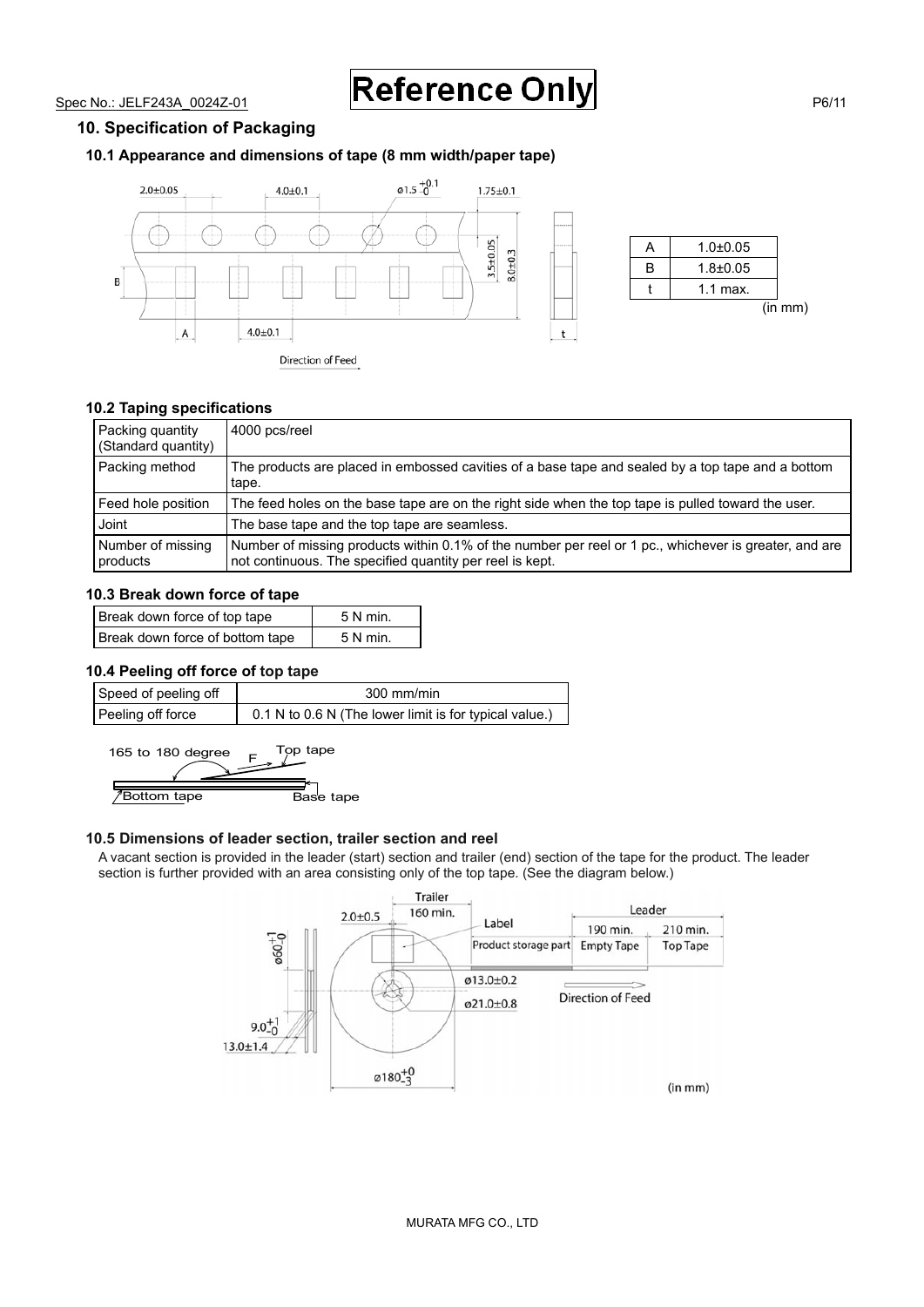#### **10. Specification of Packaging**

#### **10.1 Appearance and dimensions of tape (8 mm width/paper tape)**





#### **10.2 Taping specifications**

| Packing quantity<br>(Standard quantity) | 4000 pcs/reel                                                                                                                                                     |
|-----------------------------------------|-------------------------------------------------------------------------------------------------------------------------------------------------------------------|
| Packing method                          | The products are placed in embossed cavities of a base tape and sealed by a top tape and a bottom<br>tape.                                                        |
| Feed hole position                      | The feed holes on the base tape are on the right side when the top tape is pulled toward the user.                                                                |
| Joint                                   | The base tape and the top tape are seamless.                                                                                                                      |
| Number of missing<br>products           | Number of missing products within 0.1% of the number per reel or 1 pc., whichever is greater, and are<br>not continuous. The specified quantity per reel is kept. |

#### **10.3 Break down force of tape**

| Break down force of top tape    | $5 N min$ . |
|---------------------------------|-------------|
| Break down force of bottom tape | $5 N min$ . |

#### **10.4 Peeling off force of top tape**

| Speed of peeling off | $300$ mm/min                                           |
|----------------------|--------------------------------------------------------|
| Peeling off force    | 0.1 N to 0.6 N (The lower limit is for typical value.) |

165 to 180 degree  $F^{\text{Top}}$  tape **Bottom tape** Base tape

#### **10.5 Dimensions of leader section, trailer section and reel**

A vacant section is provided in the leader (start) section and trailer (end) section of the tape for the product. The leader section is further provided with an area consisting only of the top tape. (See the diagram below.)

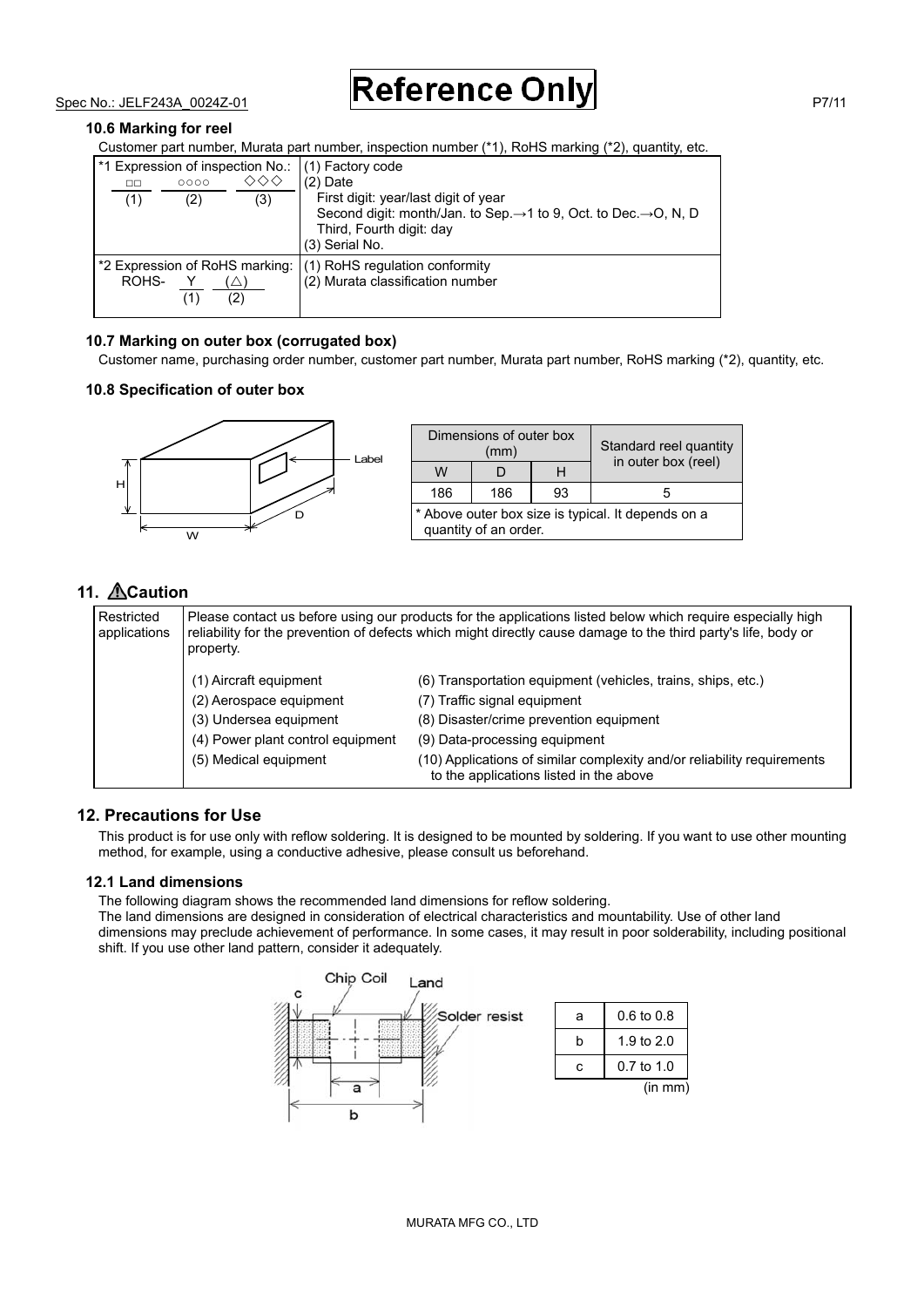#### **10.6 Marking for reel**

Customer part number, Murata part number, inspection number (\*1), RoHS marking (\*2), quantity, etc.

| 00<br>(1) | 0000<br>(2) | (3) | *1 Expression of inspection No.: (1) Factory code<br>$(2)$ Date<br>First digit: year/last digit of year<br>Second digit: month/Jan. to Sep. $\rightarrow$ 1 to 9, Oct. to Dec. $\rightarrow$ O, N, D<br>Third, Fourth digit: day<br>(3) Serial No. |
|-----------|-------------|-----|----------------------------------------------------------------------------------------------------------------------------------------------------------------------------------------------------------------------------------------------------|
| ROHS-     |             | (2) | *2 Expression of RoHS marking: (1) RoHS regulation conformity<br>(2) Murata classification number                                                                                                                                                  |

#### **10.7 Marking on outer box (corrugated box)**

Customer name, purchasing order number, customer part number, Murata part number, RoHS marking (\*2), quantity, etc.

#### **10.8 Specification of outer box**



| Dimensions of outer box<br>(mm)                                             |     | Standard reel quantity<br>in outer box (reel) |    |
|-----------------------------------------------------------------------------|-----|-----------------------------------------------|----|
| w                                                                           |     | Н                                             |    |
| 186                                                                         | 186 | 93                                            | ٠h |
| * Above outer box size is typical. It depends on a<br>quantity of an order. |     |                                               |    |

## **11. Caution**

| Restricted<br>applications | property.                         | Please contact us before using our products for the applications listed below which require especially high<br>reliability for the prevention of defects which might directly cause damage to the third party's life, body or |
|----------------------------|-----------------------------------|-------------------------------------------------------------------------------------------------------------------------------------------------------------------------------------------------------------------------------|
|                            | (1) Aircraft equipment            | (6) Transportation equipment (vehicles, trains, ships, etc.)                                                                                                                                                                  |
|                            | (2) Aerospace equipment           | (7) Traffic signal equipment                                                                                                                                                                                                  |
|                            | (3) Undersea equipment            | (8) Disaster/crime prevention equipment                                                                                                                                                                                       |
|                            | (4) Power plant control equipment | (9) Data-processing equipment                                                                                                                                                                                                 |
|                            | (5) Medical equipment             | (10) Applications of similar complexity and/or reliability requirements<br>to the applications listed in the above                                                                                                            |

### **12. Precautions for Use**

This product is for use only with reflow soldering. It is designed to be mounted by soldering. If you want to use other mounting method, for example, using a conductive adhesive, please consult us beforehand.

#### **12.1 Land dimensions**

The following diagram shows the recommended land dimensions for reflow soldering.

The land dimensions are designed in consideration of electrical characteristics and mountability. Use of other land dimensions may preclude achievement of performance. In some cases, it may result in poor solderability, including positional shift. If you use other land pattern, consider it adequately.

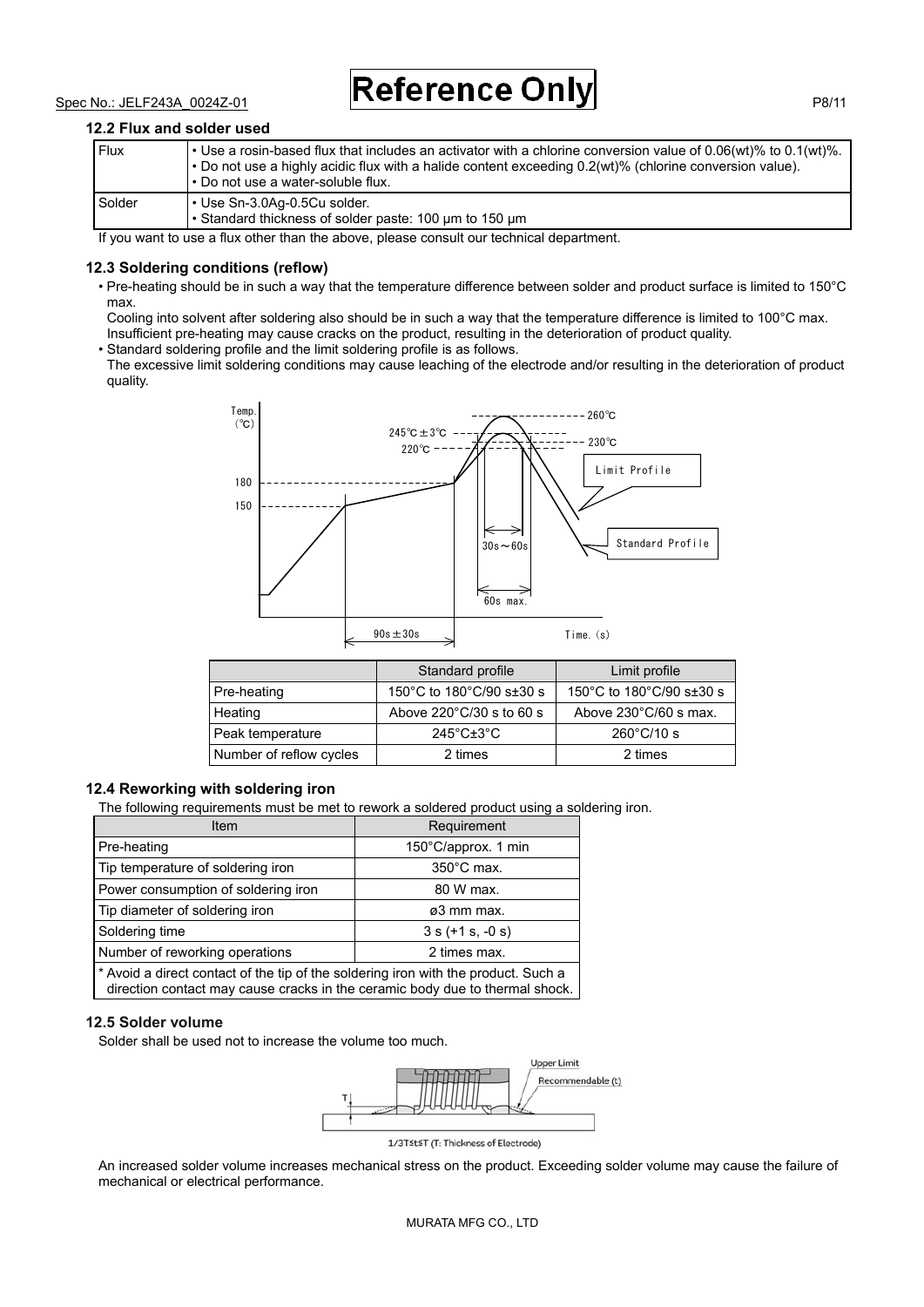#### **12.2 Flux and solder used**

| Flux   | • Use a rosin-based flux that includes an activator with a chlorine conversion value of $0.06(wt)\%$ to $0.1(wt)\%$ .<br>$\cdot$ Do not use a highly acidic flux with a halide content exceeding 0.2(wt)% (chlorine conversion value).<br>l • Do not use a water-soluble flux. |
|--------|--------------------------------------------------------------------------------------------------------------------------------------------------------------------------------------------------------------------------------------------------------------------------------|
| Solder | l • Use Sn-3.0Aq-0.5Cu solder.<br>• Standard thickness of solder paste: 100 um to 150 um                                                                                                                                                                                       |

If you want to use a flux other than the above, please consult our technical department.

#### **12.3 Soldering conditions (reflow)**

• Pre-heating should be in such a way that the temperature difference between solder and product surface is limited to 150°C max.

Cooling into solvent after soldering also should be in such a way that the temperature difference is limited to 100°C max. Insufficient pre-heating may cause cracks on the product, resulting in the deterioration of product quality.

• Standard soldering profile and the limit soldering profile is as follows.

The excessive limit soldering conditions may cause leaching of the electrode and/or resulting in the deterioration of product quality.



|                         | Standard profile                   | Limit profile                   |
|-------------------------|------------------------------------|---------------------------------|
| Pre-heating             | 150°C to 180°C/90 s $\pm$ 30 s     | 150°C to 180°C/90 s±30 s        |
| Heating                 | Above $220^{\circ}$ C/30 s to 60 s | Above $230^{\circ}$ C/60 s max. |
| Peak temperature        | $245^{\circ}$ C $\pm 3^{\circ}$ C  | $260^{\circ}$ C/10 s            |
| Number of reflow cycles | 2 times                            | 2 times                         |

#### **12.4 Reworking with soldering iron**

The following requirements must be met to rework a soldered product using a soldering iron.

| <b>Item</b>                                                                        | Requirement          |
|------------------------------------------------------------------------------------|----------------------|
| Pre-heating                                                                        | 150°C/approx. 1 min  |
| Tip temperature of soldering iron                                                  | $350^{\circ}$ C max. |
| Power consumption of soldering iron                                                | 80 W max.            |
| Tip diameter of soldering iron                                                     | ø3 mm max.           |
| Soldering time                                                                     | $3 s (+1 s, -0 s)$   |
| Number of reworking operations                                                     | 2 times max.         |
| * Avoid a direct contact of the tip of the soldering iron with the product. Such a |                      |

direction contact may cause cracks in the ceramic body due to thermal shock.

#### **12.5 Solder volume**

Solder shall be used not to increase the volume too much.



An increased solder volume increases mechanical stress on the product. Exceeding solder volume may cause the failure of mechanical or electrical performance.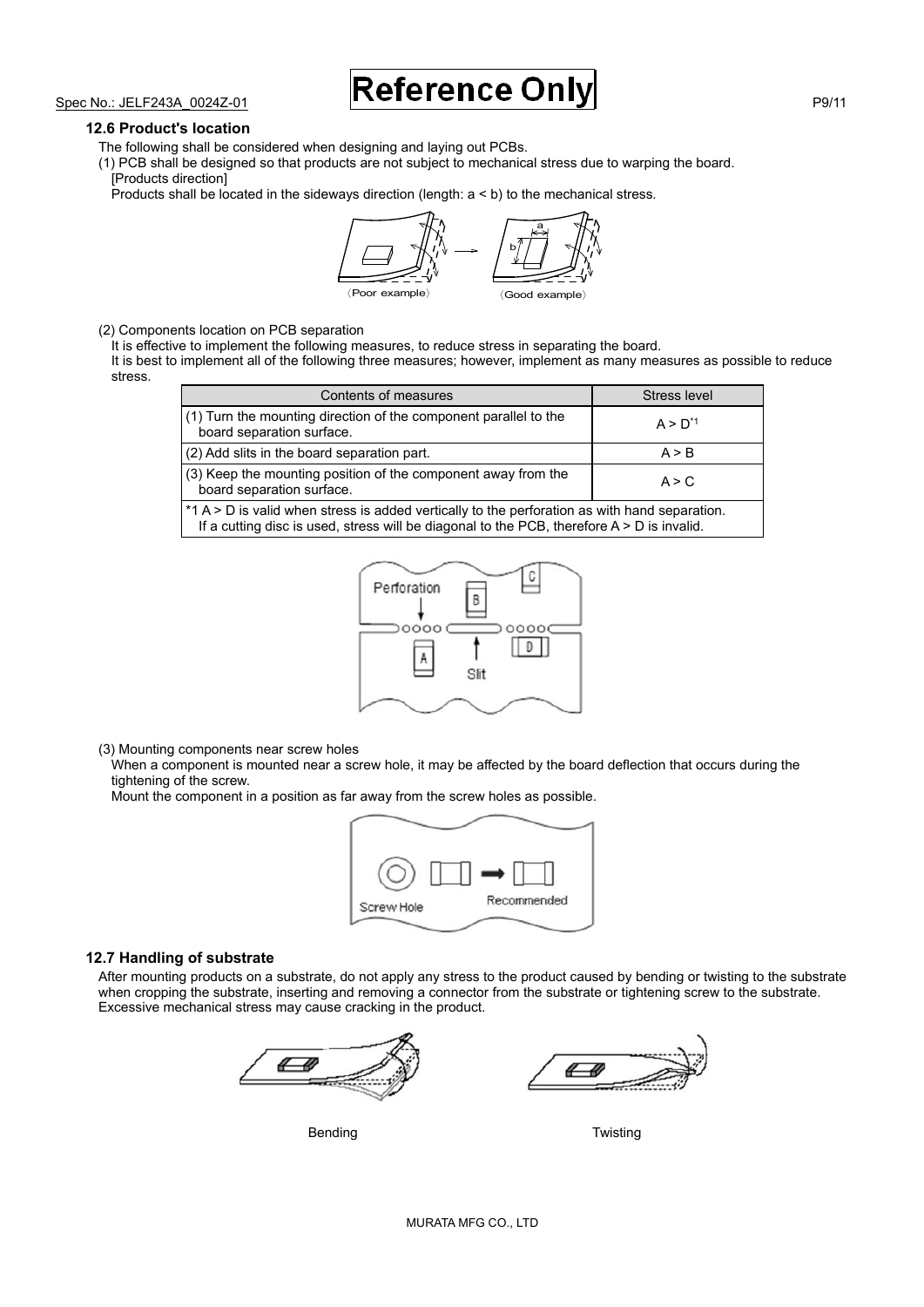#### **12.6 Product's location**

The following shall be considered when designing and laying out PCBs.

(1) PCB shall be designed so that products are not subject to mechanical stress due to warping the board. [Products direction]

Products shall be located in the sideways direction (length: a < b) to the mechanical stress.



(2) Components location on PCB separation

It is effective to implement the following measures, to reduce stress in separating the board.

It is best to implement all of the following three measures; however, implement as many measures as possible to reduce stress.

| Contents of measures                                                                                                                                                                          | Stress level |
|-----------------------------------------------------------------------------------------------------------------------------------------------------------------------------------------------|--------------|
| (1) Turn the mounting direction of the component parallel to the<br>board separation surface.                                                                                                 | $A > D^{1}$  |
| (2) Add slits in the board separation part.                                                                                                                                                   | A > B        |
| (3) Keep the mounting position of the component away from the<br>board separation surface.                                                                                                    | A > C        |
| *1 A > D is valid when stress is added vertically to the perforation as with hand separation.<br>If a cutting disc is used, stress will be diagonal to the PCB, therefore $A > D$ is invalid. |              |



(3) Mounting components near screw holes

When a component is mounted near a screw hole, it may be affected by the board deflection that occurs during the tightening of the screw.

Mount the component in a position as far away from the screw holes as possible.



#### **12.7 Handling of substrate**

After mounting products on a substrate, do not apply any stress to the product caused by bending or twisting to the substrate when cropping the substrate, inserting and removing a connector from the substrate or tightening screw to the substrate. Excessive mechanical stress may cause cracking in the product.



Bending **Bending Community** Bending **Bending**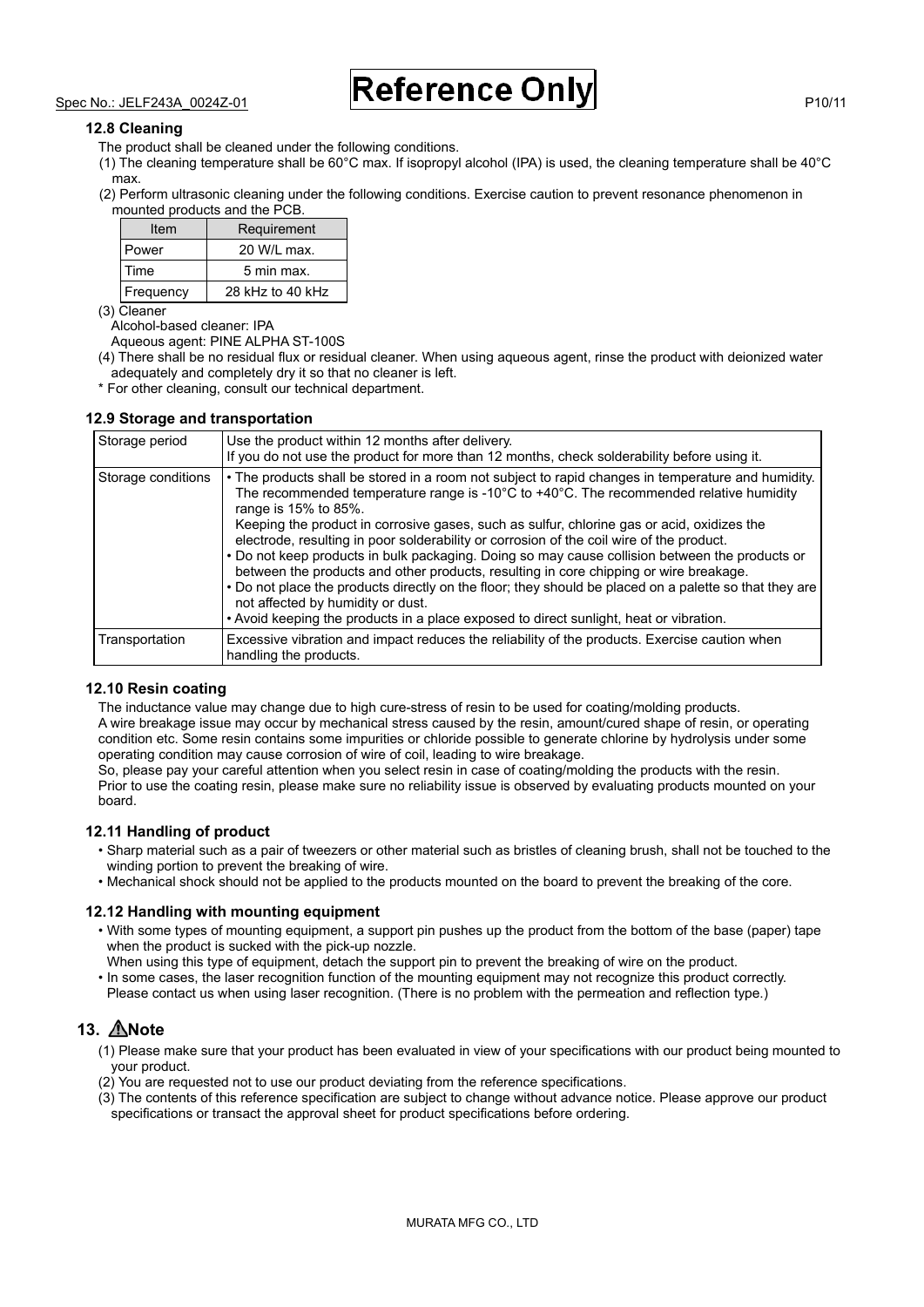#### **12.8 Cleaning**

- The product shall be cleaned under the following conditions.
- (1) The cleaning temperature shall be 60°C max. If isopropyl alcohol (IPA) is used, the cleaning temperature shall be 40°C max.
- (2) Perform ultrasonic cleaning under the following conditions. Exercise caution to prevent resonance phenomenon in mounted products and the PCB.

| Item      | Requirement      |  |
|-----------|------------------|--|
| Power     | 20 W/L max.      |  |
| Time      | 5 min max.       |  |
| Frequency | 28 kHz to 40 kHz |  |

(3) Cleaner

Alcohol-based cleaner: IPA

Aqueous agent: PINE ALPHA ST-100S

- (4) There shall be no residual flux or residual cleaner. When using aqueous agent, rinse the product with deionized water adequately and completely dry it so that no cleaner is left.
- \* For other cleaning, consult our technical department.

#### **12.9 Storage and transportation**

| Storage period     | Use the product within 12 months after delivery.<br>If you do not use the product for more than 12 months, check solderability before using it.                                                                                                                                                                                                                                                                                                                                                                                                                                                                                                                                                                                                                                                                                                                          |
|--------------------|--------------------------------------------------------------------------------------------------------------------------------------------------------------------------------------------------------------------------------------------------------------------------------------------------------------------------------------------------------------------------------------------------------------------------------------------------------------------------------------------------------------------------------------------------------------------------------------------------------------------------------------------------------------------------------------------------------------------------------------------------------------------------------------------------------------------------------------------------------------------------|
| Storage conditions | • The products shall be stored in a room not subject to rapid changes in temperature and humidity.<br>The recommended temperature range is -10 $^{\circ}$ C to +40 $^{\circ}$ C. The recommended relative humidity<br>range is 15% to 85%.<br>Keeping the product in corrosive gases, such as sulfur, chlorine gas or acid, oxidizes the<br>electrode, resulting in poor solderability or corrosion of the coil wire of the product.<br>. Do not keep products in bulk packaging. Doing so may cause collision between the products or<br>between the products and other products, resulting in core chipping or wire breakage.<br>. Do not place the products directly on the floor; they should be placed on a palette so that they are<br>not affected by humidity or dust.<br>• Avoid keeping the products in a place exposed to direct sunlight, heat or vibration. |
| Transportation     | Excessive vibration and impact reduces the reliability of the products. Exercise caution when<br>handling the products.                                                                                                                                                                                                                                                                                                                                                                                                                                                                                                                                                                                                                                                                                                                                                  |

#### **12.10 Resin coating**

The inductance value may change due to high cure-stress of resin to be used for coating/molding products. A wire breakage issue may occur by mechanical stress caused by the resin, amount/cured shape of resin, or operating condition etc. Some resin contains some impurities or chloride possible to generate chlorine by hydrolysis under some operating condition may cause corrosion of wire of coil, leading to wire breakage.

So, please pay your careful attention when you select resin in case of coating/molding the products with the resin. Prior to use the coating resin, please make sure no reliability issue is observed by evaluating products mounted on your board.

#### **12.11 Handling of product**

- Sharp material such as a pair of tweezers or other material such as bristles of cleaning brush, shall not be touched to the winding portion to prevent the breaking of wire.
- Mechanical shock should not be applied to the products mounted on the board to prevent the breaking of the core.

#### **12.12 Handling with mounting equipment**

- With some types of mounting equipment, a support pin pushes up the product from the bottom of the base (paper) tape when the product is sucked with the pick-up nozzle.
- When using this type of equipment, detach the support pin to prevent the breaking of wire on the product. • In some cases, the laser recognition function of the mounting equipment may not recognize this product correctly.
- Please contact us when using laser recognition. (There is no problem with the permeation and reflection type.)

### **13. Note**

- (1) Please make sure that your product has been evaluated in view of your specifications with our product being mounted to your product.
- (2) You are requested not to use our product deviating from the reference specifications.
- (3) The contents of this reference specification are subject to change without advance notice. Please approve our product specifications or transact the approval sheet for product specifications before ordering.